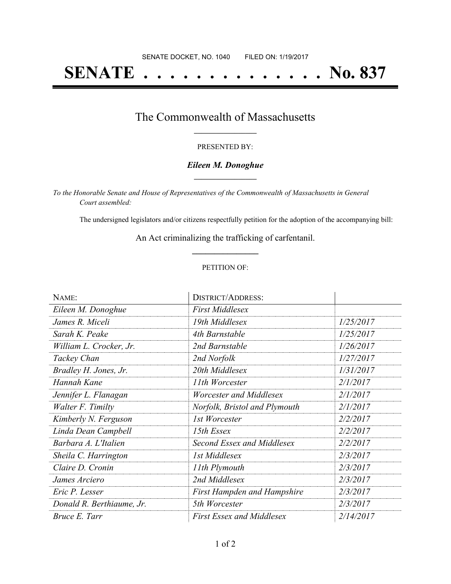# **SENATE . . . . . . . . . . . . . . No. 837**

### The Commonwealth of Massachusetts **\_\_\_\_\_\_\_\_\_\_\_\_\_\_\_\_\_**

#### PRESENTED BY:

#### *Eileen M. Donoghue* **\_\_\_\_\_\_\_\_\_\_\_\_\_\_\_\_\_**

*To the Honorable Senate and House of Representatives of the Commonwealth of Massachusetts in General Court assembled:*

The undersigned legislators and/or citizens respectfully petition for the adoption of the accompanying bill:

An Act criminalizing the trafficking of carfentanil. **\_\_\_\_\_\_\_\_\_\_\_\_\_\_\_**

#### PETITION OF:

| NAME:                     | <b>DISTRICT/ADDRESS:</b>           |           |
|---------------------------|------------------------------------|-----------|
| Eileen M. Donoghue        | <b>First Middlesex</b>             |           |
| James R. Miceli           | 19th Middlesex                     | 1/25/2017 |
| Sarah K. Peake            | 4th Barnstable                     | 1/25/2017 |
| William L. Crocker, Jr.   | 2nd Barnstable                     | 1/26/2017 |
| Tackey Chan               | 2nd Norfolk                        | 1/27/2017 |
| Bradley H. Jones, Jr.     | 20th Middlesex                     | 1/31/2017 |
| Hannah Kane               | 11th Worcester                     | 2/1/2017  |
| Jennifer L. Flanagan      | Worcester and Middlesex            | 2/1/2017  |
| Walter F. Timilty         | Norfolk, Bristol and Plymouth      | 2/1/2017  |
| Kimberly N. Ferguson      | 1st Worcester                      | 2/2/2017  |
| Linda Dean Campbell       | 15th Essex                         | 2/2/2017  |
| Barbara A. L'Italien      | Second Essex and Middlesex         | 2/2/2017  |
| Sheila C. Harrington      | 1st Middlesex                      | 2/3/2017  |
| Claire D. Cronin          | 11th Plymouth                      | 2/3/2017  |
| James Arciero             | 2nd Middlesex                      | 2/3/2017  |
| Eric P. Lesser            | <b>First Hampden and Hampshire</b> | 2/3/2017  |
| Donald R. Berthiaume, Jr. | 5th Worcester                      | 2/3/2017  |
| Bruce E. Tarr             | <b>First Essex and Middlesex</b>   | 2/14/2017 |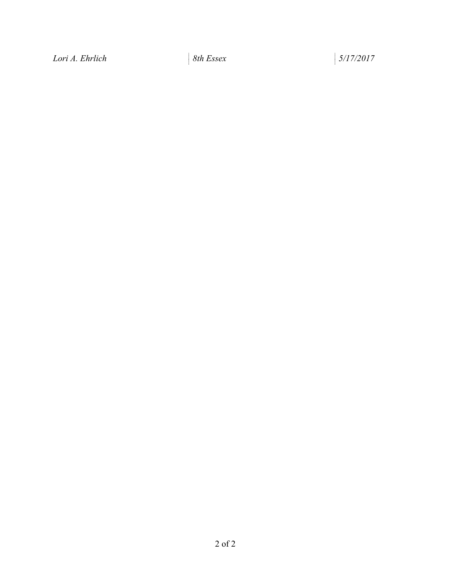*Lori A. Ehrlich 8th Essex 5/17/2017*